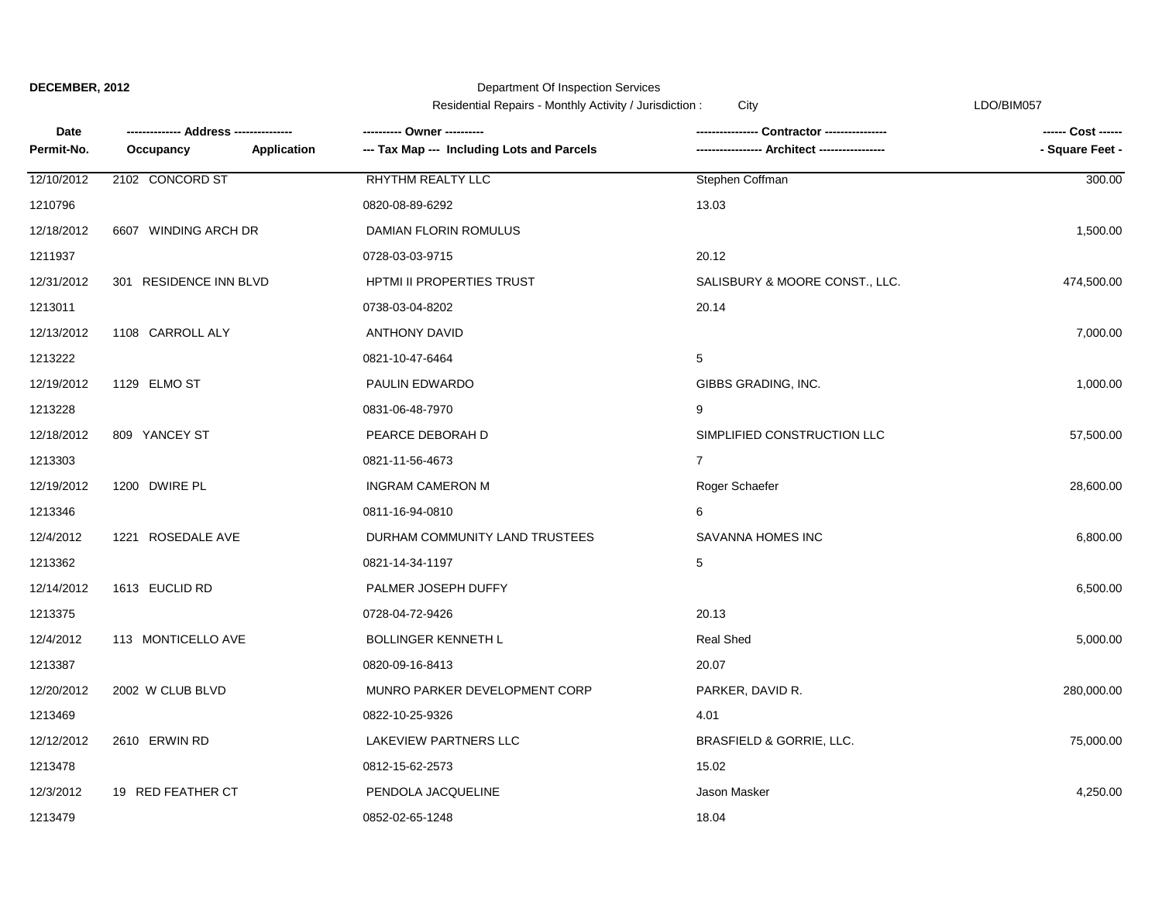#### Department Of Inspection Services

Residential Repairs - Monthly Activity / Jurisdiction : City Christian Communication Christian CDO/BIM057

**Date Occupancy** 1213479 0852-02-65-1248 18.04 12/3/2012 19 RED FEATHER CT PENDOLA JACQUELINE Jason Masker 4.250.00 1213478 0812-15-62-2573 15.02 12/12/2012 2610 ERWIN RD LAKEVIEW PARTNERS LLC BRASFIELD & GORRIE, LLC. 75,000.00 1213469 0822-10-25-9326 4.01 12/20/2012 2002 W CLUB BLVD MUNRO PARKER DEVELOPMENT CORP PARKER, DAVID R. 280,000.00 1213387 0820-09-16-8413 20.07 12/4/2012 113 MONTICELLO AVE BOLLINGER KENNETH L<br>12/4/2012 113 MONTICELLO AVE BOLLINGER KENNETH L 1213375 0728-04-72-9426 20.13 12/14/2012 1613 EUCLID RD PALMER JOSEPH DUFFY 6,500.00 1213362 0821-14-34-1197 5 12/4/2012 1221 ROSEDALE AVE DURHAM COMMUNITY LAND TRUSTEES SAVANNA HOMES INC 6,800.00 1213346 0811-16-94-0810 6 12/19/2012 1200 DWIRE PL INGRAM CAMERON M Roger Schaefer 28,600.00 1213303 0821-11-56-4673 7 12/18/2012 809 YANCEY ST PEARCE DEBORAH D SIMPLIFIED CONSTRUCTION LLC 57,500.00 1213228 0831-06-48-7970 9 12/19/2012 1129 ELMO ST PAULIN EDWARDO GIBBS GRADING, INC. 1,000.00 1213222 0821-10-47-6464 5 12/13/2012 1108 CARROLL ALY ANTHONY DAVID 7,000.00 1213011 0738-03-04-8202 20.14 12/31/2012 301 RESIDENCE INN BLVD HPTMI II PROPERTIES TRUST SALISBURY & MOORE CONST., LLC. 474,500.00 1211937 0728-03-03-9715 20.12 12/18/2012 6607 WINDING ARCH DR DAMIAN FLORIN ROMULUS 1,500.00 12/10/2012 2102 CONCORD ST **RHYTHM REALTY LLC** Stephen Coffman Stephen Communication of the Stephen Communication of the Stephen Communication of the Stephen Communication of the Stephen Communication of the Stephen Commun 1210796 0820-08-89-6292 13.03 **-------------- Address --------------- ---------- Owner ---------- ---------------- Contractor ---------------- ------ Cost ------** Permit-No. Occupancy **Application --- Tax Map --- Including Lots and Parcels ------------------ Architect ------------------**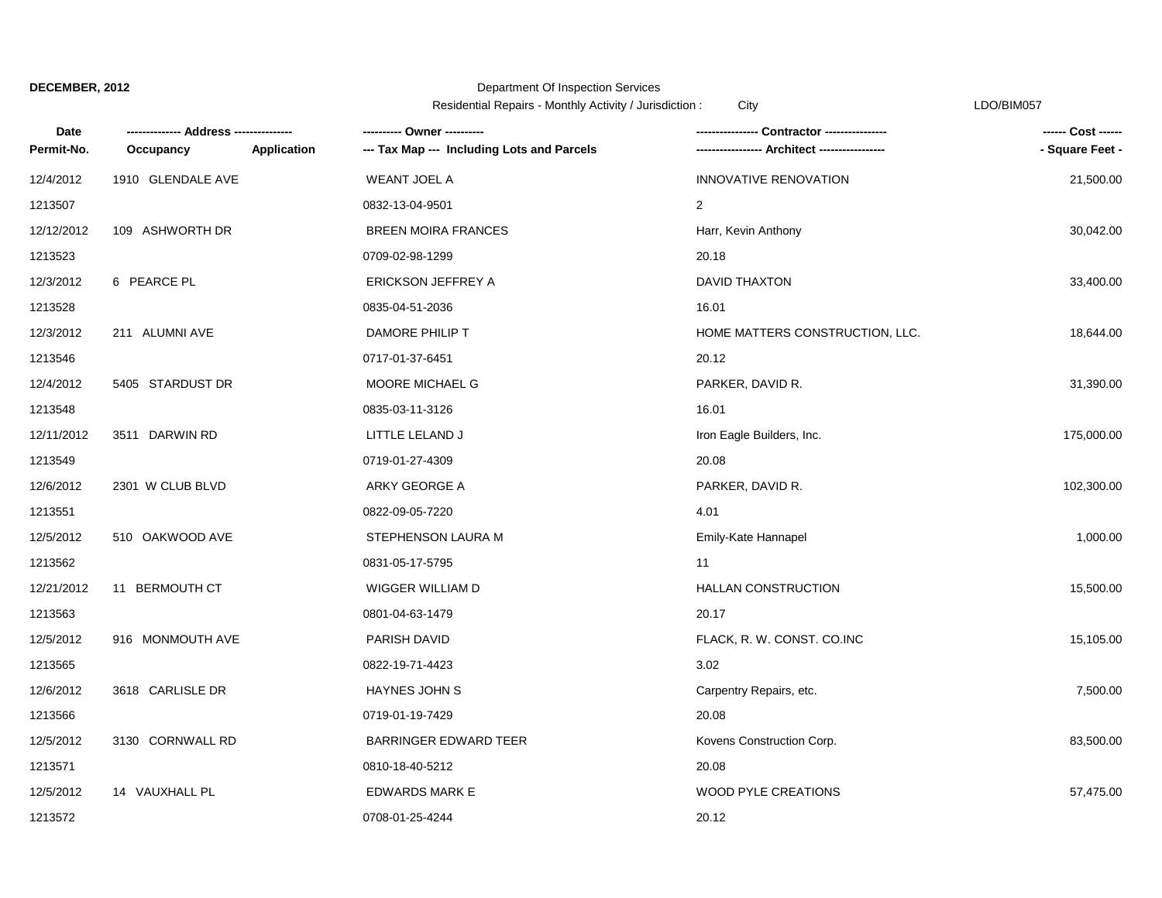## Department Of Inspection Services

Residential Repairs - Monthly Activity / Jurisdiction : City Changes Contained the CDO/BIM057

| Date       | --- Address ------ |             | ---------- Owner ----------                | -- Contractor ----------------  | ------ Cost ------ |
|------------|--------------------|-------------|--------------------------------------------|---------------------------------|--------------------|
| Permit-No. | Occupancy          | Application | --- Tax Map --- Including Lots and Parcels | -- Architect -----              | - Square Feet -    |
| 12/4/2012  | 1910 GLENDALE AVE  |             | <b>WEANT JOEL A</b>                        | INNOVATIVE RENOVATION           | 21,500.00          |
| 1213507    |                    |             | 0832-13-04-9501                            | $\overline{c}$                  |                    |
| 12/12/2012 | 109 ASHWORTH DR    |             | <b>BREEN MOIRA FRANCES</b>                 | Harr, Kevin Anthony             | 30,042.00          |
| 1213523    |                    |             | 0709-02-98-1299                            | 20.18                           |                    |
| 12/3/2012  | 6 PEARCE PL        |             | <b>ERICKSON JEFFREY A</b>                  | <b>DAVID THAXTON</b>            | 33,400.00          |
| 1213528    |                    |             | 0835-04-51-2036                            | 16.01                           |                    |
| 12/3/2012  | 211 ALUMNI AVE     |             | DAMORE PHILIP T                            | HOME MATTERS CONSTRUCTION, LLC. | 18,644.00          |
| 1213546    |                    |             | 0717-01-37-6451                            | 20.12                           |                    |
| 12/4/2012  | 5405 STARDUST DR   |             | MOORE MICHAEL G                            | PARKER, DAVID R.                | 31,390.00          |
| 1213548    |                    |             | 0835-03-11-3126                            | 16.01                           |                    |
| 12/11/2012 | 3511 DARWIN RD     |             | LITTLE LELAND J                            | Iron Eagle Builders, Inc.       | 175,000.00         |
| 1213549    |                    |             | 0719-01-27-4309                            | 20.08                           |                    |
| 12/6/2012  | 2301 W CLUB BLVD   |             | ARKY GEORGE A                              | PARKER, DAVID R.                | 102,300.00         |
| 1213551    |                    |             | 0822-09-05-7220                            | 4.01                            |                    |
| 12/5/2012  | 510 OAKWOOD AVE    |             | STEPHENSON LAURA M                         | Emily-Kate Hannapel             | 1,000.00           |
| 1213562    |                    |             | 0831-05-17-5795                            | 11                              |                    |
| 12/21/2012 | 11 BERMOUTH CT     |             | WIGGER WILLIAM D                           | <b>HALLAN CONSTRUCTION</b>      | 15,500.00          |
| 1213563    |                    |             | 0801-04-63-1479                            | 20.17                           |                    |
| 12/5/2012  | 916 MONMOUTH AVE   |             | PARISH DAVID                               | FLACK, R. W. CONST. CO.INC      | 15,105.00          |
| 1213565    |                    |             | 0822-19-71-4423                            | 3.02                            |                    |
| 12/6/2012  | 3618 CARLISLE DR   |             | <b>HAYNES JOHN S</b>                       | Carpentry Repairs, etc.         | 7,500.00           |
| 1213566    |                    |             | 0719-01-19-7429                            | 20.08                           |                    |
| 12/5/2012  | 3130 CORNWALL RD   |             | <b>BARRINGER EDWARD TEER</b>               | Kovens Construction Corp.       | 83,500.00          |
| 1213571    |                    |             | 0810-18-40-5212                            | 20.08                           |                    |
| 12/5/2012  | 14 VAUXHALL PL     |             | <b>EDWARDS MARK E</b>                      | <b>WOOD PYLE CREATIONS</b>      | 57,475.00          |
| 1213572    |                    |             | 0708-01-25-4244                            | 20.12                           |                    |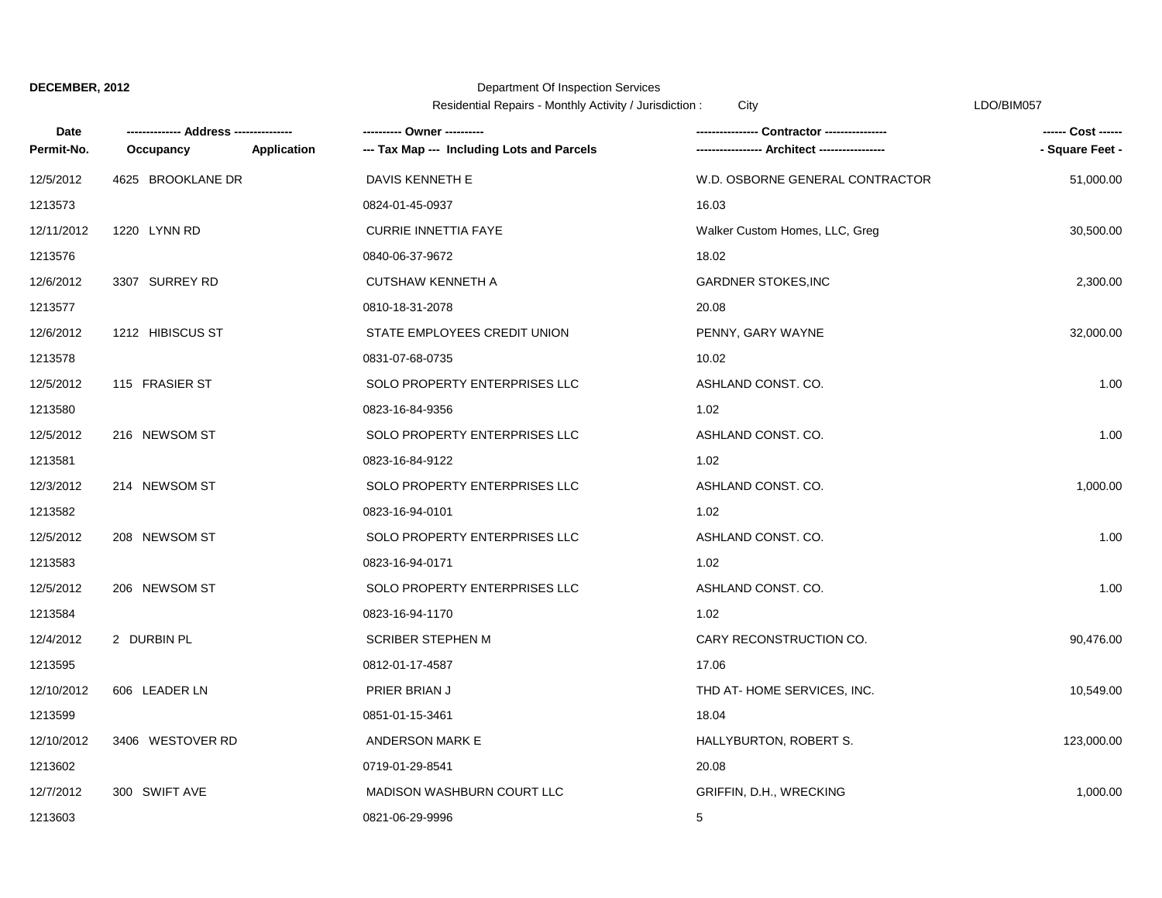### Department Of Inspection Services

Residential Repairs - Monthly Activity / Jurisdiction : City LDO/BIM057

| <b>Date</b> |                   |             | ---------- Owner ----------                |                                 | ------ Cost ------ |
|-------------|-------------------|-------------|--------------------------------------------|---------------------------------|--------------------|
| Permit-No.  | Occupancy         | Application | --- Tax Map --- Including Lots and Parcels |                                 | - Square Feet -    |
| 12/5/2012   | 4625 BROOKLANE DR |             | DAVIS KENNETH E                            | W.D. OSBORNE GENERAL CONTRACTOR | 51,000.00          |
| 1213573     |                   |             | 0824-01-45-0937                            | 16.03                           |                    |
| 12/11/2012  | 1220 LYNN RD      |             | <b>CURRIE INNETTIA FAYE</b>                | Walker Custom Homes, LLC, Greg  | 30,500.00          |
| 1213576     |                   |             | 0840-06-37-9672                            | 18.02                           |                    |
| 12/6/2012   | 3307 SURREY RD    |             | <b>CUTSHAW KENNETH A</b>                   | <b>GARDNER STOKES, INC</b>      | 2,300.00           |
| 1213577     |                   |             | 0810-18-31-2078                            | 20.08                           |                    |
| 12/6/2012   | 1212 HIBISCUS ST  |             | STATE EMPLOYEES CREDIT UNION               | PENNY, GARY WAYNE               | 32,000.00          |
| 1213578     |                   |             | 0831-07-68-0735                            | 10.02                           |                    |
| 12/5/2012   | 115 FRASIER ST    |             | SOLO PROPERTY ENTERPRISES LLC              | ASHLAND CONST. CO.              | 1.00               |
| 1213580     |                   |             | 0823-16-84-9356                            | 1.02                            |                    |
| 12/5/2012   | 216 NEWSOM ST     |             | SOLO PROPERTY ENTERPRISES LLC              | ASHLAND CONST. CO.              | 1.00               |
| 1213581     |                   |             | 0823-16-84-9122                            | 1.02                            |                    |
| 12/3/2012   | 214 NEWSOM ST     |             | SOLO PROPERTY ENTERPRISES LLC              | ASHLAND CONST. CO.              | 1,000.00           |
| 1213582     |                   |             | 0823-16-94-0101                            | 1.02                            |                    |
| 12/5/2012   | 208 NEWSOM ST     |             | SOLO PROPERTY ENTERPRISES LLC              | ASHLAND CONST. CO.              | 1.00               |
| 1213583     |                   |             | 0823-16-94-0171                            | 1.02                            |                    |
| 12/5/2012   | 206 NEWSOM ST     |             | SOLO PROPERTY ENTERPRISES LLC              | ASHLAND CONST. CO.              | 1.00               |
| 1213584     |                   |             | 0823-16-94-1170                            | 1.02                            |                    |
| 12/4/2012   | 2 DURBIN PL       |             | <b>SCRIBER STEPHEN M</b>                   | CARY RECONSTRUCTION CO.         | 90,476.00          |
| 1213595     |                   |             | 0812-01-17-4587                            | 17.06                           |                    |
| 12/10/2012  | 606 LEADER LN     |             | PRIER BRIAN J                              | THD AT-HOME SERVICES, INC.      | 10,549.00          |
| 1213599     |                   |             | 0851-01-15-3461                            | 18.04                           |                    |
| 12/10/2012  | 3406 WESTOVER RD  |             | <b>ANDERSON MARK E</b>                     | HALLYBURTON, ROBERT S.          | 123,000.00         |
| 1213602     |                   |             | 0719-01-29-8541                            | 20.08                           |                    |
| 12/7/2012   | 300 SWIFT AVE     |             | MADISON WASHBURN COURT LLC                 | GRIFFIN, D.H., WRECKING         | 1,000.00           |
| 1213603     |                   |             | 0821-06-29-9996                            | 5                               |                    |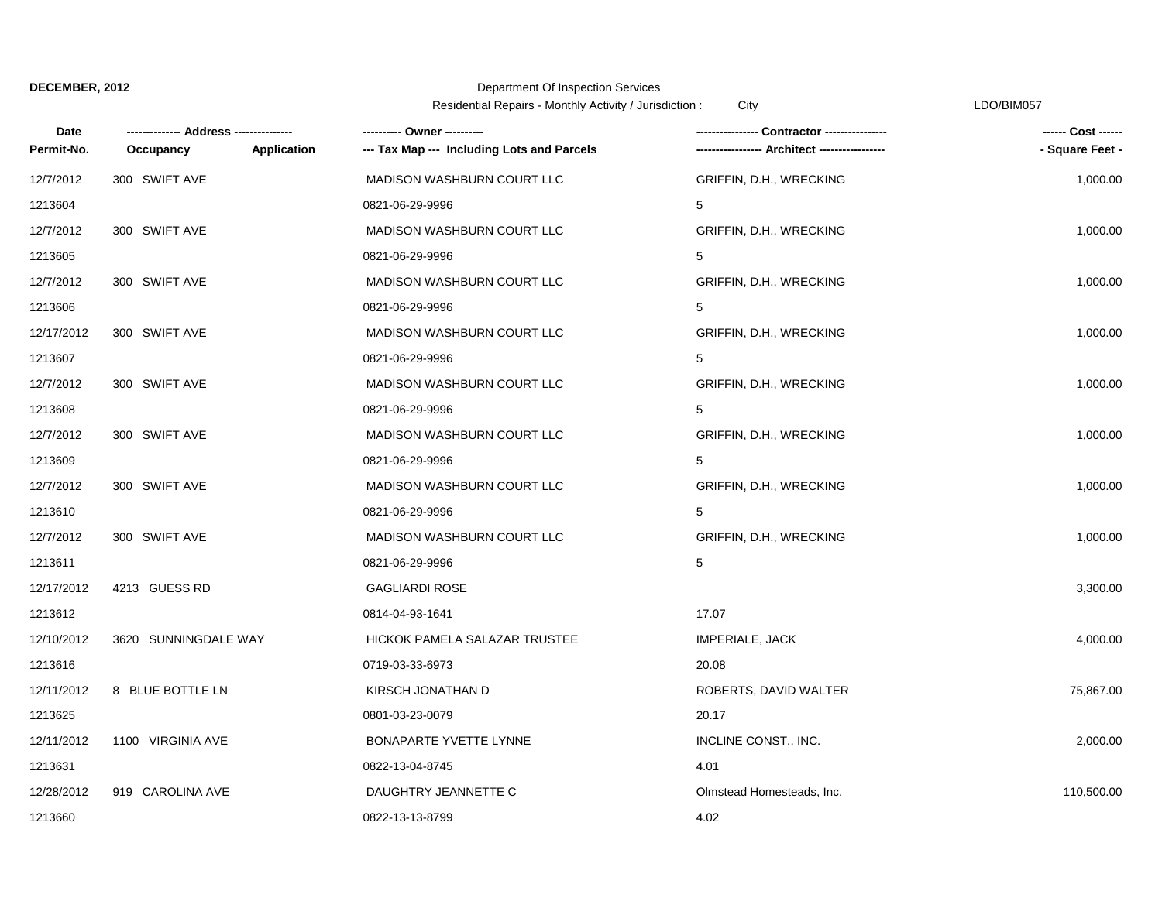### Department Of Inspection Services

|            |                      |                                                                  | Residential Repairs - Monthly Activity / Jurisdiction :<br>City |                    |
|------------|----------------------|------------------------------------------------------------------|-----------------------------------------------------------------|--------------------|
| Date       |                      |                                                                  |                                                                 | ------ Cost ------ |
| Permit-No. | Occupancy            | --- Tax Map --- Including Lots and Parcels<br><b>Application</b> | --- Architect -----------------                                 | - Square Feet -    |
| 12/7/2012  | 300 SWIFT AVE        | MADISON WASHBURN COURT LLC                                       | GRIFFIN, D.H., WRECKING                                         | 1,000.00           |
| 1213604    |                      | 0821-06-29-9996                                                  | 5                                                               |                    |
| 12/7/2012  | 300 SWIFT AVE        | MADISON WASHBURN COURT LLC                                       | GRIFFIN, D.H., WRECKING                                         | 1,000.00           |
| 1213605    |                      | 0821-06-29-9996                                                  | 5                                                               |                    |
| 12/7/2012  | 300 SWIFT AVE        | MADISON WASHBURN COURT LLC                                       | GRIFFIN, D.H., WRECKING                                         | 1,000.00           |
| 1213606    |                      | 0821-06-29-9996                                                  | 5                                                               |                    |
| 12/17/2012 | 300 SWIFT AVE        | MADISON WASHBURN COURT LLC                                       | GRIFFIN, D.H., WRECKING                                         | 1,000.00           |
| 1213607    |                      | 0821-06-29-9996                                                  | 5                                                               |                    |
| 12/7/2012  | 300 SWIFT AVE        | MADISON WASHBURN COURT LLC                                       | GRIFFIN, D.H., WRECKING                                         | 1,000.00           |
| 1213608    |                      | 0821-06-29-9996                                                  | 5                                                               |                    |
| 12/7/2012  | 300 SWIFT AVE        | MADISON WASHBURN COURT LLC                                       | GRIFFIN, D.H., WRECKING                                         | 1,000.00           |
| 1213609    |                      | 0821-06-29-9996                                                  | 5                                                               |                    |
| 12/7/2012  | 300 SWIFT AVE        | MADISON WASHBURN COURT LLC                                       | GRIFFIN, D.H., WRECKING                                         | 1,000.00           |
| 1213610    |                      | 0821-06-29-9996                                                  | 5                                                               |                    |
| 12/7/2012  | 300 SWIFT AVE        | MADISON WASHBURN COURT LLC                                       | GRIFFIN, D.H., WRECKING                                         | 1,000.00           |
| 1213611    |                      | 0821-06-29-9996                                                  | $5\phantom{.0}$                                                 |                    |
| 12/17/2012 | 4213 GUESS RD        | <b>GAGLIARDI ROSE</b>                                            |                                                                 | 3,300.00           |
| 1213612    |                      | 0814-04-93-1641                                                  | 17.07                                                           |                    |
| 12/10/2012 | 3620 SUNNINGDALE WAY | HICKOK PAMELA SALAZAR TRUSTEE                                    | IMPERIALE, JACK                                                 | 4,000.00           |
| 1213616    |                      | 0719-03-33-6973                                                  | 20.08                                                           |                    |
| 12/11/2012 | 8 BLUE BOTTLE LN     | KIRSCH JONATHAN D                                                | ROBERTS, DAVID WALTER                                           | 75,867.00          |
| 1213625    |                      | 0801-03-23-0079                                                  | 20.17                                                           |                    |
| 12/11/2012 | 1100 VIRGINIA AVE    | BONAPARTE YVETTE LYNNE                                           | INCLINE CONST., INC.                                            | 2,000.00           |
| 1213631    |                      | 0822-13-04-8745                                                  | 4.01                                                            |                    |
| 12/28/2012 | 919 CAROLINA AVE     | DAUGHTRY JEANNETTE C                                             | Olmstead Homesteads, Inc.                                       | 110,500.00         |
| 1213660    |                      | 0822-13-13-8799                                                  | 4.02                                                            |                    |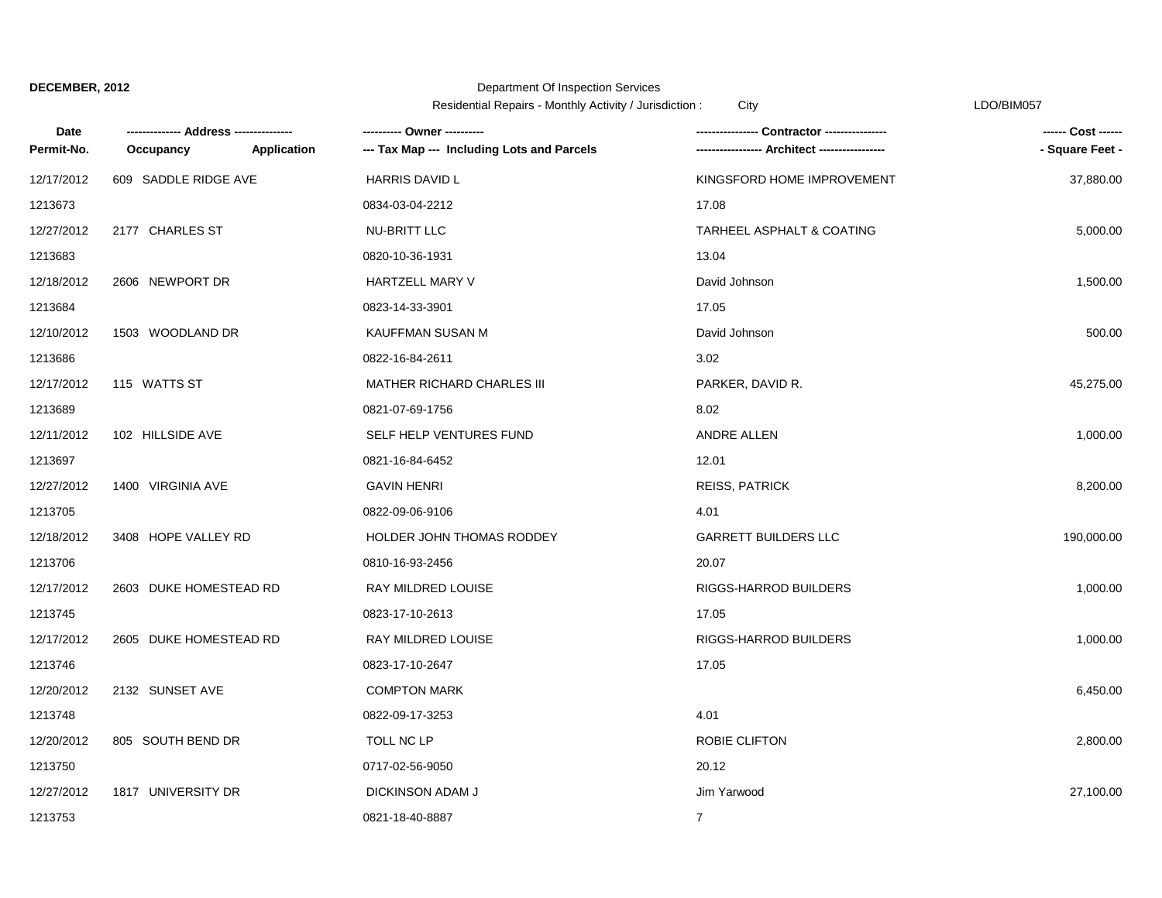## Department Of Inspection Services

Residential Repairs - Monthly Activity / Jurisdiction : City Communication Control of the LDO/BIM057

| Date       |                        |             | ---------- Owner ----------                |                             | ------ Cost ------ |
|------------|------------------------|-------------|--------------------------------------------|-----------------------------|--------------------|
| Permit-No. | Occupancy              | Application | --- Tax Map --- Including Lots and Parcels | --- Architect --------      | - Square Feet -    |
| 12/17/2012 | 609 SADDLE RIDGE AVE   |             | <b>HARRIS DAVID L</b>                      | KINGSFORD HOME IMPROVEMENT  | 37,880.00          |
| 1213673    |                        |             | 0834-03-04-2212                            | 17.08                       |                    |
| 12/27/2012 | 2177 CHARLES ST        |             | NU-BRITT LLC                               | TARHEEL ASPHALT & COATING   | 5,000.00           |
| 1213683    |                        |             | 0820-10-36-1931                            | 13.04                       |                    |
| 12/18/2012 | 2606 NEWPORT DR        |             | HARTZELL MARY V                            | David Johnson               | 1,500.00           |
| 1213684    |                        |             | 0823-14-33-3901                            | 17.05                       |                    |
| 12/10/2012 | 1503 WOODLAND DR       |             | KAUFFMAN SUSAN M                           | David Johnson               | 500.00             |
| 1213686    |                        |             | 0822-16-84-2611                            | 3.02                        |                    |
| 12/17/2012 | 115 WATTS ST           |             | <b>MATHER RICHARD CHARLES III</b>          | PARKER, DAVID R.            | 45,275.00          |
| 1213689    |                        |             | 0821-07-69-1756                            | 8.02                        |                    |
| 12/11/2012 | 102 HILLSIDE AVE       |             | SELF HELP VENTURES FUND                    | ANDRE ALLEN                 | 1,000.00           |
| 1213697    |                        |             | 0821-16-84-6452                            | 12.01                       |                    |
| 12/27/2012 | 1400 VIRGINIA AVE      |             | <b>GAVIN HENRI</b>                         | <b>REISS, PATRICK</b>       | 8,200.00           |
| 1213705    |                        |             | 0822-09-06-9106                            | 4.01                        |                    |
| 12/18/2012 | 3408 HOPE VALLEY RD    |             | HOLDER JOHN THOMAS RODDEY                  | <b>GARRETT BUILDERS LLC</b> | 190,000.00         |
| 1213706    |                        |             | 0810-16-93-2456                            | 20.07                       |                    |
| 12/17/2012 | 2603 DUKE HOMESTEAD RD |             | RAY MILDRED LOUISE                         | RIGGS-HARROD BUILDERS       | 1,000.00           |
| 1213745    |                        |             | 0823-17-10-2613                            | 17.05                       |                    |
| 12/17/2012 | 2605 DUKE HOMESTEAD RD |             | RAY MILDRED LOUISE                         | RIGGS-HARROD BUILDERS       | 1,000.00           |
| 1213746    |                        |             | 0823-17-10-2647                            | 17.05                       |                    |
| 12/20/2012 | 2132 SUNSET AVE        |             | <b>COMPTON MARK</b>                        |                             | 6,450.00           |
| 1213748    |                        |             | 0822-09-17-3253                            | 4.01                        |                    |
| 12/20/2012 | 805 SOUTH BEND DR      |             | TOLL NC LP                                 | ROBIE CLIFTON               | 2,800.00           |
| 1213750    |                        |             | 0717-02-56-9050                            | 20.12                       |                    |
| 12/27/2012 | 1817 UNIVERSITY DR     |             | <b>DICKINSON ADAM J</b>                    | Jim Yarwood                 | 27,100.00          |
| 1213753    |                        |             | 0821-18-40-8887                            | $\mathbf{7}$                |                    |